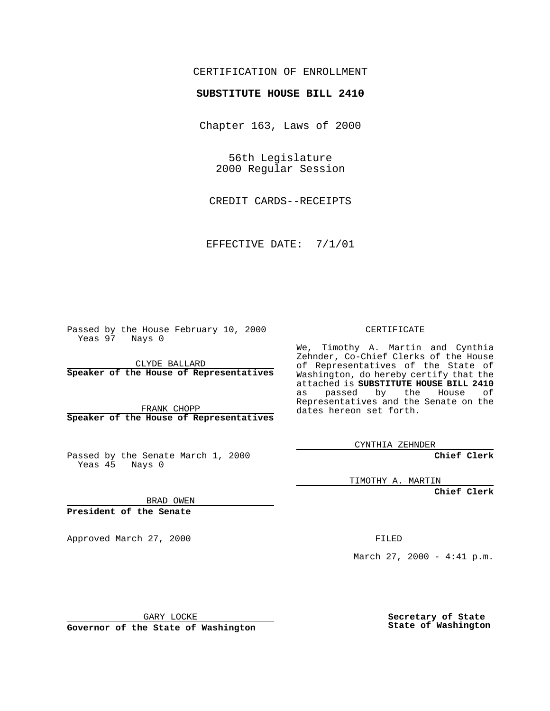## CERTIFICATION OF ENROLLMENT

## **SUBSTITUTE HOUSE BILL 2410**

Chapter 163, Laws of 2000

56th Legislature 2000 Regular Session

CREDIT CARDS--RECEIPTS

EFFECTIVE DATE: 7/1/01

Passed by the House February 10, 2000 Yeas 97 Nays 0

CLYDE BALLARD **Speaker of the House of Representatives**

FRANK CHOPP **Speaker of the House of Representatives**

Passed by the Senate March 1, 2000 Yeas 45 Nays 0

CERTIFICATE

We, Timothy A. Martin and Cynthia Zehnder, Co-Chief Clerks of the House of Representatives of the State of Washington, do hereby certify that the attached is **SUBSTITUTE HOUSE BILL 2410** as passed by the House of Representatives and the Senate on the dates hereon set forth.

CYNTHIA ZEHNDER

**Chief Clerk**

TIMOTHY A. MARTIN

**Chief Clerk**

BRAD OWEN

**President of the Senate**

Approved March 27, 2000 FILED

March 27, 2000 - 4:41 p.m.

GARY LOCKE

**Governor of the State of Washington**

**Secretary of State State of Washington**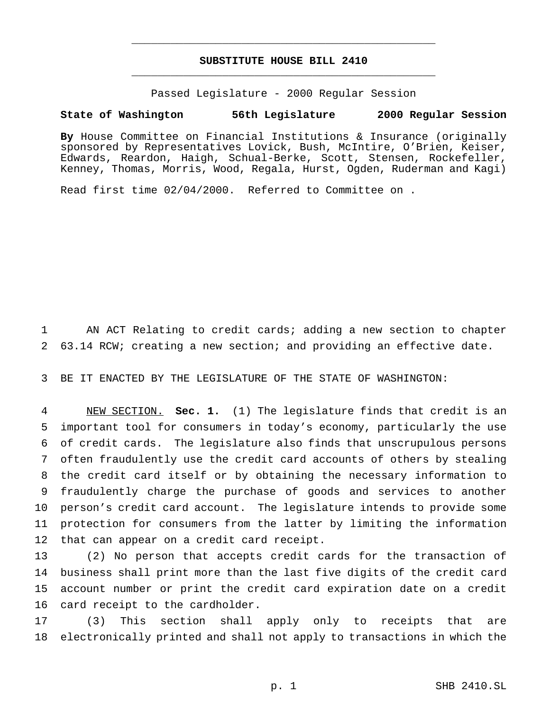## **SUBSTITUTE HOUSE BILL 2410** \_\_\_\_\_\_\_\_\_\_\_\_\_\_\_\_\_\_\_\_\_\_\_\_\_\_\_\_\_\_\_\_\_\_\_\_\_\_\_\_\_\_\_\_\_\_\_

\_\_\_\_\_\_\_\_\_\_\_\_\_\_\_\_\_\_\_\_\_\_\_\_\_\_\_\_\_\_\_\_\_\_\_\_\_\_\_\_\_\_\_\_\_\_\_

Passed Legislature - 2000 Regular Session

## **State of Washington 56th Legislature 2000 Regular Session**

**By** House Committee on Financial Institutions & Insurance (originally sponsored by Representatives Lovick, Bush, McIntire, O'Brien, Keiser, Edwards, Reardon, Haigh, Schual-Berke, Scott, Stensen, Rockefeller, Kenney, Thomas, Morris, Wood, Regala, Hurst, Ogden, Ruderman and Kagi)

Read first time 02/04/2000. Referred to Committee on .

 AN ACT Relating to credit cards; adding a new section to chapter 63.14 RCW; creating a new section; and providing an effective date.

BE IT ENACTED BY THE LEGISLATURE OF THE STATE OF WASHINGTON:

 NEW SECTION. **Sec. 1.** (1) The legislature finds that credit is an important tool for consumers in today's economy, particularly the use of credit cards. The legislature also finds that unscrupulous persons often fraudulently use the credit card accounts of others by stealing the credit card itself or by obtaining the necessary information to fraudulently charge the purchase of goods and services to another person's credit card account. The legislature intends to provide some protection for consumers from the latter by limiting the information that can appear on a credit card receipt.

 (2) No person that accepts credit cards for the transaction of business shall print more than the last five digits of the credit card account number or print the credit card expiration date on a credit card receipt to the cardholder.

 (3) This section shall apply only to receipts that are electronically printed and shall not apply to transactions in which the